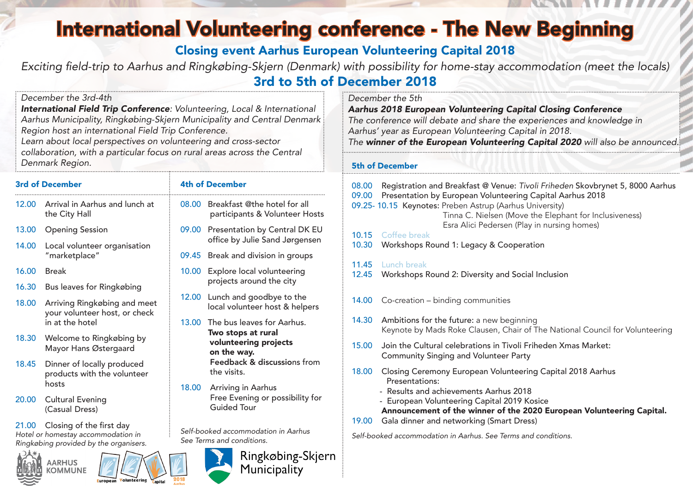# International Volunteering conference - The New Beginning

Closing event Aarhus European Volunteering Capital 2018

Exciting field-trip to Aarhus and Ringkøbing-Skjern (Denmark) with possibility for home-stay accommodation (meet the locals) 3rd to 5th of December 2018

#### *December the 3rd-4th*

*International Field Trip Conference: Volunteering, Local & International Aarhus Municipality, Ringkøbing-Skjern Municipality and Central Denmark Region host an international Field Trip Conference.*

*Learn about local perspectives on volunteering and cross-sector collaboration, with a particular focus on rural areas across the Central Denmark Region.*

#### 3rd of December

- 12.00 Arrival in Aarhus and lunch at the City Hall
- 13.00 Opening Session
- 14.00 Local volunteer organisation "marketplace"
- 16.00 Break
- 16.30 Bus leaves for Ringkøbing
- 18.00 Arriving Ringkøbing and meet your volunteer host, or check in at the hotel
- 18.30 Welcome to Ringkøbing by Mayor Hans Østergaard
- 18.45 Dinner of locally produced products with the volunteer hosts
- 20.00 Cultural Evening (Casual Dress)

21.00 Closing of the first day *Hotel or homestay accommodation in Ringkøbing provided by the organisers.*





### 4th of December

- 08.00 Breakfast @the hotel for all participants & Volunteer Hosts
- 09.00 Presentation by Central DK EU office by Julie Sand Jørgensen
- 09.45 Break and division in groups
- 10.00 Explore local volunteering projects around the city
- 12.00 Lunch and goodbye to the local volunteer host & helpers
- 13.00 The bus leaves for Aarhus. Two stops at rural volunteering projects on the way. Feedback & discussions from the visits.
- 18.00 Arriving in Aarhus Free Evening or possibility for Guided Tour

*Self-booked accommodation in Aarhus See Terms and conditions.*



#### *December the 5th*

*Aarhus 2018 European Volunteering Capital Closing Conference The conference will debate and share the experiences and knowledge in Aarhus' year as European Volunteering Capital in 2018. The winner of the European Volunteering Capital 2020 will also be announced.*

#### 5th of December

- 08.00 Registration and Breakfast @ Venue: *Tivoli Friheden* Skovbrynet 5, 8000 Aarhus 09.00 Presentation by European Volunteering Capital Aarhus 2018
- 09.25- 10.15 Keynotes: Preben Astrup (Aarhus University) Tinna C. Nielsen (Move the Elephant for Inclusiveness) Esra Alici Pedersen (Play in nursing homes)
- 10.15 Coffee break
- 10.30 Workshops Round 1: Legacy & Cooperation
- 11.45 Lunch break
- 12.45 Workshops Round 2: Diversity and Social Inclusion
- 14.00 Co-creation binding communities
- 14.30 Ambitions for the future: a new beginning Keynote by Mads Roke Clausen, Chair of The National Council for Volunteering
- 15.00 Join the Cultural celebrations in Tivoli Friheden Xmas Market: Community Singing and Volunteer Party
- 18.00 Closing Ceremony European Volunteering Capital 2018 Aarhus Presentations:
	- Results and achievements Aarhus 2018
	- European Volunteering Capital 2019 Kosice Announcement of the winner of the 2020 European Volunteering Capital.
- 19.00 Gala dinner and networking (Smart Dress)

*Self-booked accommodation in Aarhus. See Terms and conditions.*